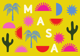